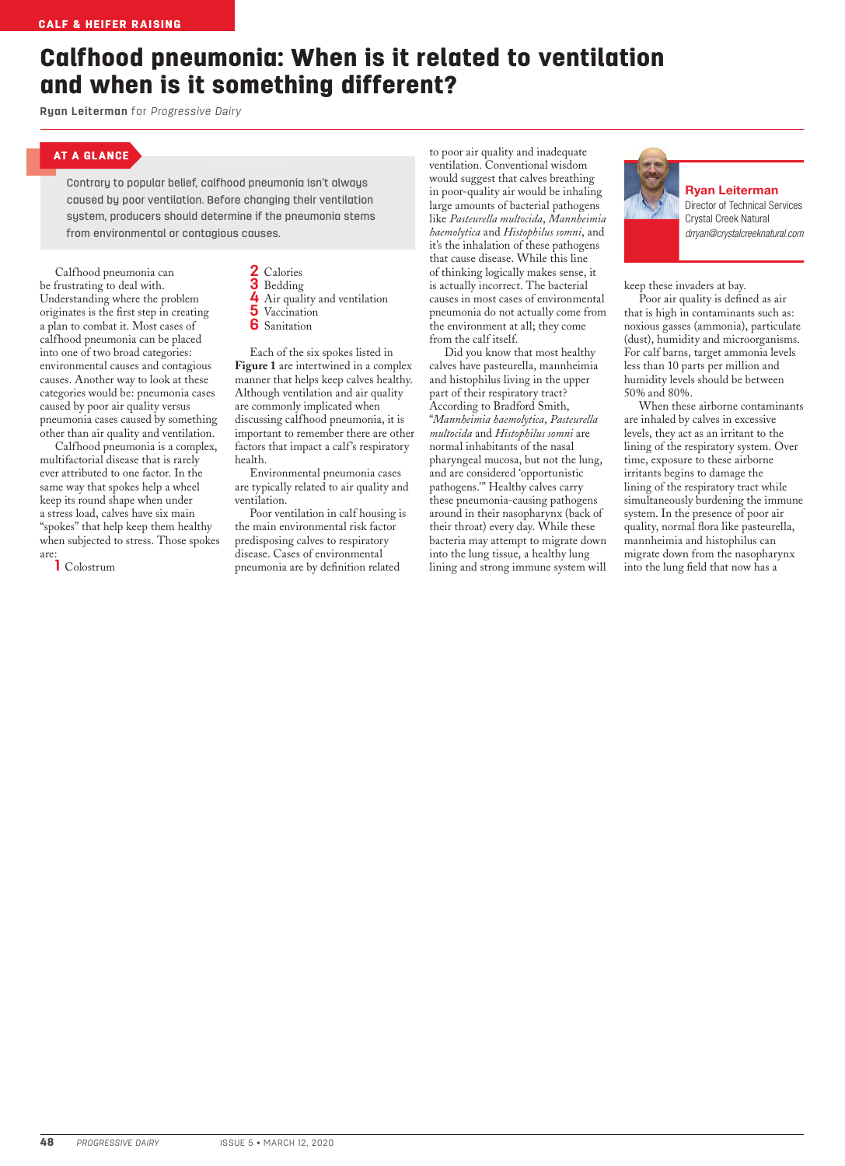## Calfhood pneumonia: When is it related to ventilation and when is it something different?

**Ryan Leiterman** for *Progressive Dairy*

## AT A GLANCE

Contrary to popular belief, calfhood pneumonia isn't always caused by poor ventilation. Before changing their ventilation system, producers should determine if the pneumonia stems from environmental or contagious causes.

Calfhood pneumonia can be frustrating to deal with. Understanding where the problem originates is the first step in creating a plan to combat it. Most cases of calfhood pneumonia can be placed into one of two broad categories: environmental causes and contagious causes. Another way to look at these categories would be: pneumonia cases caused by poor air quality versus pneumonia cases caused by something other than air quality and ventilation.

Calfhood pneumonia is a complex, multifactorial disease that is rarely ever attributed to one factor. In the same way that spokes help a wheel keep its round shape when under a stress load, calves have six main "spokes" that help keep them healthy when subjected to stress. Those spokes are:

**1** Colostrum

**2** Calories **3** Bedding **4** Air quality and ventilation **5** Vaccination **6** Sanitation

Each of the six spokes listed in **Figure 1** are intertwined in a complex manner that helps keep calves healthy. Although ventilation and air quality are commonly implicated when discussing calfhood pneumonia, it is important to remember there are other factors that impact a calf's respiratory health.

Environmental pneumonia cases are typically related to air quality and ventilation.

Poor ventilation in calf housing is the main environmental risk factor predisposing calves to respiratory disease. Cases of environmental pneumonia are by definition related

to poor air quality and inadequate ventilation. Conventional wisdom would suggest that calves breathing in poor-quality air would be inhaling large amounts of bacterial pathogens like *Pasteurella multocida*, *Mannheimia haemolytica* and *Histophilus somni*, and it's the inhalation of these pathogens that cause disease. While this line of thinking logically makes sense, it is actually incorrect. The bacterial causes in most cases of environmental pneumonia do not actually come from the environment at all; they come from the calf itself.

Did you know that most healthy calves have pasteurella, mannheimia and histophilus living in the upper part of their respiratory tract? According to Bradford Smith, "*Mannheimia haemolytica*, *Pasteurella multocida* and *Histophilus somni* are normal inhabitants of the nasal pharyngeal mucosa, but not the lung, and are considered 'opportunistic pathogens.'" Healthy calves carry these pneumonia-causing pathogens around in their nasopharynx (back of their throat) every day. While these bacteria may attempt to migrate down into the lung tissue, a healthy lung lining and strong immune system will



Ryan Leiterman Director of Technical Services Crystal Creek Natural *drryan@crystalcreeknatural.com*

keep these invaders at bay.

Poor air quality is defined as air that is high in contaminants such as: noxious gasses (ammonia), particulate (dust), humidity and microorganisms. For calf barns, target ammonia levels less than 10 parts per million and humidity levels should be between 50% and 80%.

When these airborne contaminants are inhaled by calves in excessive levels, they act as an irritant to the lining of the respiratory system. Over time, exposure to these airborne irritants begins to damage the lining of the respiratory tract while simultaneously burdening the immune system. In the presence of poor air quality, normal flora like pasteurella, mannheimia and histophilus can migrate down from the nasopharynx into the lung field that now has a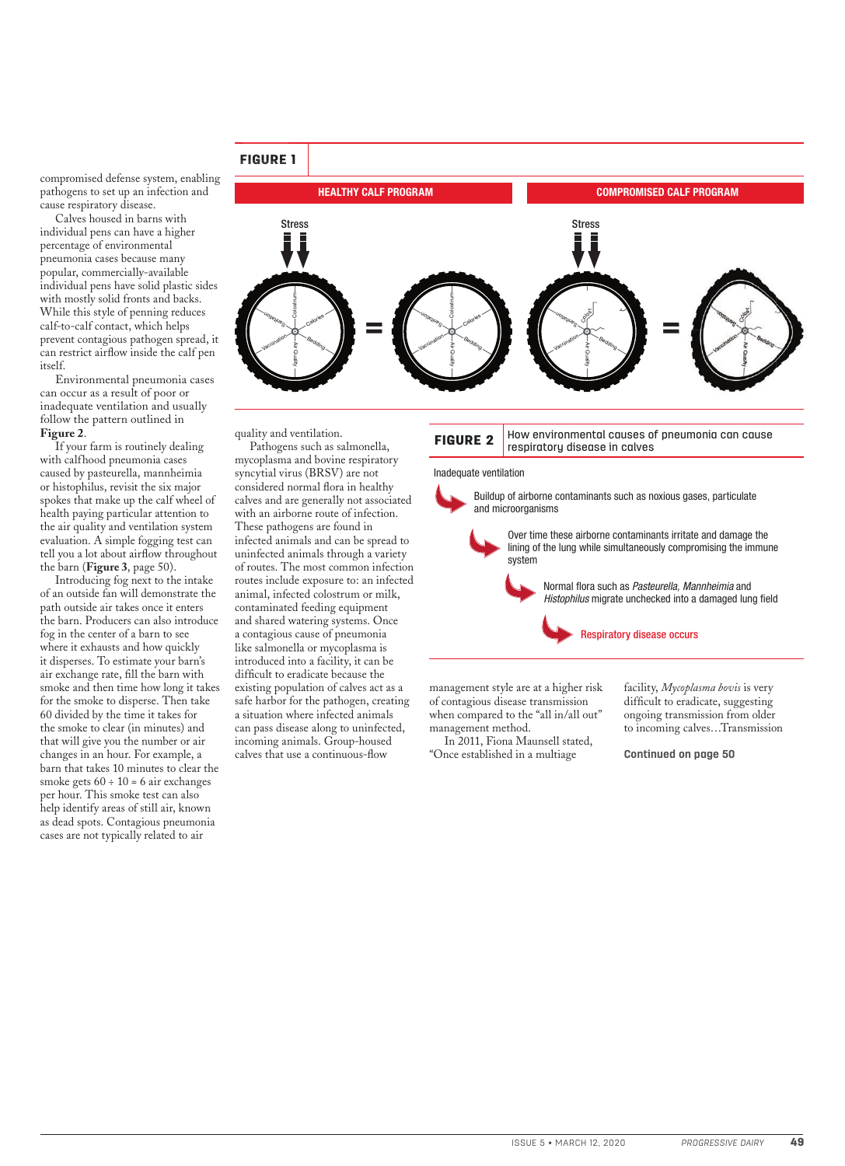

quality and ventilation.

Pathogens such as salmonella, mycoplasma and bovine respiratory syncytial virus (BRSV) are not considered normal flora in healthy calves and are generally not associated with an airborne route of infection. These pathogens are found in infected animals and can be spread to uninfected animals through a variety of routes. The most common infection routes include exposure to: an infected animal, infected colostrum or milk, contaminated feeding equipment and shared watering systems. Once a contagious cause of pneumonia like salmonella or mycoplasma is introduced into a facility, it can be difficult to eradicate because the existing population of calves act as a safe harbor for the pathogen, creating a situation where infected animals can pass disease along to uninfected, incoming animals. Group-housed calves that use a continuous-flow



Inadequate ventilation

Buildup of airborne contaminants such as noxious gases, particulate and microorganisms

> Over time these airborne contaminants irritate and damage the lining of the lung while simultaneously compromising the immune system

Normal flora such as Pasteurella, Mannheimia and Histophilus migrate unchecked into a damaged lung field



management style are at a higher risk of contagious disease transmission when compared to the "all in/all out" management method.

In 2011, Fiona Maunsell stated, "Once established in a multiage

facility, *Mycoplasma bovis* is very difficult to eradicate, suggesting ongoing transmission from older to incoming calves…Transmission

**Continued on page 50**

## FIGURE 1

compromised defense system, enabling pathogens to set up an infection and cause respiratory disease.

Calves housed in barns with individual pens can have a higher percentage of environmental pneumonia cases because many popular, commercially-available individual pens have solid plastic sides with mostly solid fronts and backs. While this style of penning reduces calf-to-calf contact, which helps prevent contagious pathogen spread, it can restrict airflow inside the calf pen itself.

Environmental pneumonia cases can occur as a result of poor or inadequate ventilation and usually follow the pattern outlined in **Figure 2**.

If your farm is routinely dealing with calfhood pneumonia cases caused by pasteurella, mannheimia or histophilus, revisit the six major spokes that make up the calf wheel of health paying particular attention to the air quality and ventilation system evaluation. A simple fogging test can tell you a lot about airflow throughout the barn (**Figure 3**, page 50).

Introducing fog next to the intake of an outside fan will demonstrate the path outside air takes once it enters the barn. Producers can also introduce fog in the center of a barn to see where it exhausts and how quickly it disperses. To estimate your barn's air exchange rate, fill the barn with smoke and then time how long it takes for the smoke to disperse. Then take 60 divided by the time it takes for the smoke to clear (in minutes) and that will give you the number or air changes in an hour. For example, a barn that takes 10 minutes to clear the smoke gets  $60 \div 10 = 6$  air exchanges per hour. This smoke test can also help identify areas of still air, known as dead spots. Contagious pneumonia cases are not typically related to air